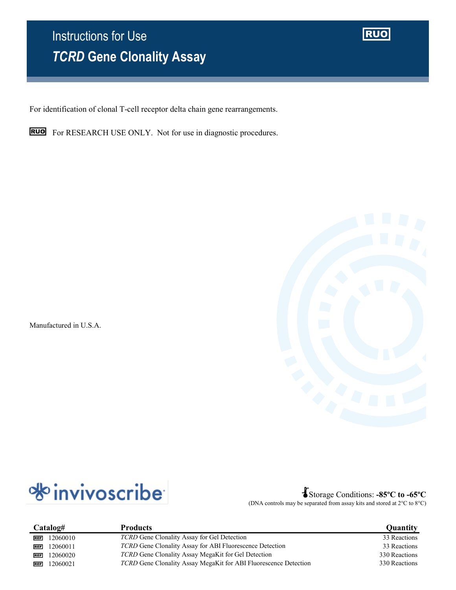# Instructions for Use *TCRD* **Gene Clonality Assay**

**RUO** 

For identification of clonal T-cell receptor delta chain gene rearrangements.



**RUO** For RESEARCH USE ONLY. Not for use in diagnostic procedures.

Manufactured in U.S.A.



Storage Conditions: **-85ºC to -65ºC** (DNA controls may be separated from assay kits and stored at 2°C to 8°C)

| Catalog#               | <b>Products</b>                                                  | Quantity      |
|------------------------|------------------------------------------------------------------|---------------|
| 12060010<br><b>REF</b> | TCRD Gene Clonality Assay for Gel Detection                      | 33 Reactions  |
| 12060011<br><b>REF</b> | <i>TCRD</i> Gene Clonality Assay for ABI Fluorescence Detection  | 33 Reactions  |
| 12060020<br><b>REF</b> | TCRD Gene Clonality Assay MegaKit for Gel Detection              | 330 Reactions |
| 12060021<br><b>REF</b> | TCRD Gene Clonality Assay MegaKit for ABI Fluorescence Detection | 330 Reactions |
|                        |                                                                  |               |

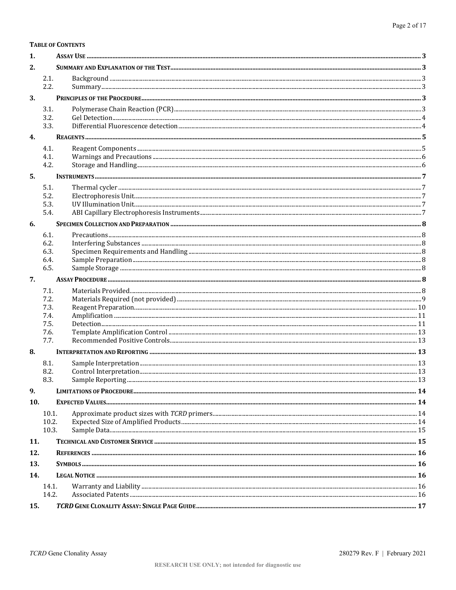TCRD Gene Clonality Assay

**TABLE OF CONTENTS** 

 $2.1.$ 

 $2.2.$ 

 $3.1.$ 

 $1.$ 

 $2.$ 

3.

| 3.3.<br>4.<br>4.1.<br>4.1.<br>4.2.<br>5.<br>5.1.<br>5.2.<br>5.3.<br>5.4.<br>6.<br>6.1.<br>6.2.<br>6.3.<br>6.4.<br>6.5.<br>7.<br>7.1.<br>7.2.<br>7.3.<br>7.4.<br>7.5.<br>7.6.<br>7.7. |  |
|--------------------------------------------------------------------------------------------------------------------------------------------------------------------------------------|--|
|                                                                                                                                                                                      |  |
|                                                                                                                                                                                      |  |
|                                                                                                                                                                                      |  |
|                                                                                                                                                                                      |  |
|                                                                                                                                                                                      |  |
|                                                                                                                                                                                      |  |
|                                                                                                                                                                                      |  |
|                                                                                                                                                                                      |  |
|                                                                                                                                                                                      |  |
|                                                                                                                                                                                      |  |
|                                                                                                                                                                                      |  |
|                                                                                                                                                                                      |  |
|                                                                                                                                                                                      |  |
|                                                                                                                                                                                      |  |
|                                                                                                                                                                                      |  |
|                                                                                                                                                                                      |  |
|                                                                                                                                                                                      |  |
|                                                                                                                                                                                      |  |
|                                                                                                                                                                                      |  |
|                                                                                                                                                                                      |  |
|                                                                                                                                                                                      |  |
| 8.                                                                                                                                                                                   |  |
| 8.1.                                                                                                                                                                                 |  |
| 8.2.                                                                                                                                                                                 |  |
| 8.3.                                                                                                                                                                                 |  |
| 9.                                                                                                                                                                                   |  |
| 10.                                                                                                                                                                                  |  |
| 10.1.                                                                                                                                                                                |  |
| 10.2.                                                                                                                                                                                |  |
| 10.3.                                                                                                                                                                                |  |
| 11.                                                                                                                                                                                  |  |
| 12.                                                                                                                                                                                  |  |
| 13.                                                                                                                                                                                  |  |
| 14.                                                                                                                                                                                  |  |
| 14.1.                                                                                                                                                                                |  |
| 14.2.                                                                                                                                                                                |  |
| 15.                                                                                                                                                                                  |  |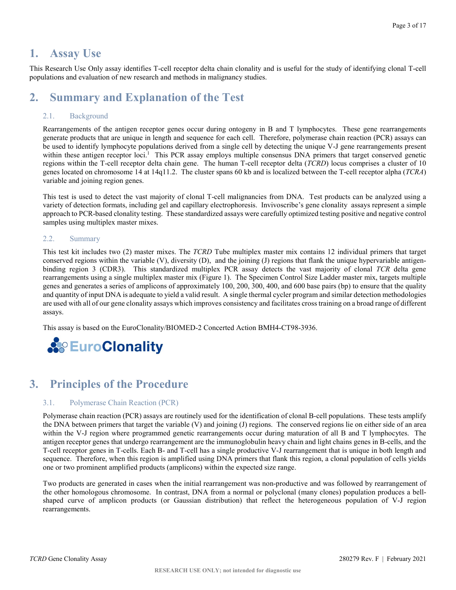# <span id="page-2-0"></span>**1. Assay Use**

This Research Use Only assay identifies T-cell receptor delta chain clonality and is useful for the study of identifying clonal T-cell populations and evaluation of new research and methods in malignancy studies.

# <span id="page-2-1"></span>**2. Summary and Explanation of the Test**

# <span id="page-2-2"></span>2.1. Background

Rearrangements of the antigen receptor genes occur during ontogeny in B and T lymphocytes. These gene rearrangements generate products that are unique in length and sequence for each cell. Therefore, polymerase chain reaction (PCR) assays can be used to identify lymphocyte populations derived from a single cell by detecting the unique V-J gene rearrangements present within these antigen receptor loci.<sup>1</sup> This PCR assay employs multiple consensus DNA primers that target conserved genetic regions within the T-cell receptor delta chain gene. The human T-cell receptor delta (*TCRD*) locus comprises a cluster of 10 genes located on chromosome 14 at 14q11.2. The cluster spans 60 kb and is localized between the T-cell receptor alpha (*TCRA*) variable and joining region genes.

This test is used to detect the vast majority of clonal T-cell malignancies from DNA. Test products can be analyzed using a variety of detection formats, including gel and capillary electrophoresis. Invivoscribe's gene clonality assays represent a simple approach to PCR-based clonality testing. These standardized assays were carefully optimized testing positive and negative control samples using multiplex master mixes.

### <span id="page-2-3"></span>2.2. Summary

This test kit includes two (2) master mixes. The *TCRD* Tube multiplex master mix contains 12 individual primers that target conserved regions within the variable (V), diversity (D), and the joining (J) regions that flank the unique hypervariable antigenbinding region 3 (CDR3). This standardized multiplex PCR assay detects the vast majority of clonal *TCR* delta gene rearrangements using a single multiplex master mix (Figure 1). The Specimen Control Size Ladder master mix, targets multiple genes and generates a series of amplicons of approximately 100, 200, 300, 400, and 600 base pairs (bp) to ensure that the quality and quantity of input DNA is adequate to yield a valid result. A single thermal cycler program and similar detection methodologies are used with all of our gene clonality assays which improves consistency and facilitates cross training on a broad range of different assays.

This assay is based on the EuroClonality/BIOMED-2 Concerted Action BMH4-CT98-3936.



# <span id="page-2-4"></span>**3. Principles of the Procedure**

### <span id="page-2-5"></span>3.1. Polymerase Chain Reaction (PCR)

Polymerase chain reaction (PCR) assays are routinely used for the identification of clonal B-cell populations. These tests amplify the DNA between primers that target the variable (V) and joining (J) regions. The conserved regions lie on either side of an area within the V-J region where programmed genetic rearrangements occur during maturation of all B and T lymphocytes. The antigen receptor genes that undergo rearrangement are the immunoglobulin heavy chain and light chains genes in B-cells, and the T-cell receptor genes in T-cells. Each B- and T-cell has a single productive V-J rearrangement that is unique in both length and sequence. Therefore, when this region is amplified using DNA primers that flank this region, a clonal population of cells yields one or two prominent amplified products (amplicons) within the expected size range.

Two products are generated in cases when the initial rearrangement was non-productive and was followed by rearrangement of the other homologous chromosome. In contrast, DNA from a normal or polyclonal (many clones) population produces a bellshaped curve of amplicon products (or Gaussian distribution) that reflect the heterogeneous population of V-J region rearrangements.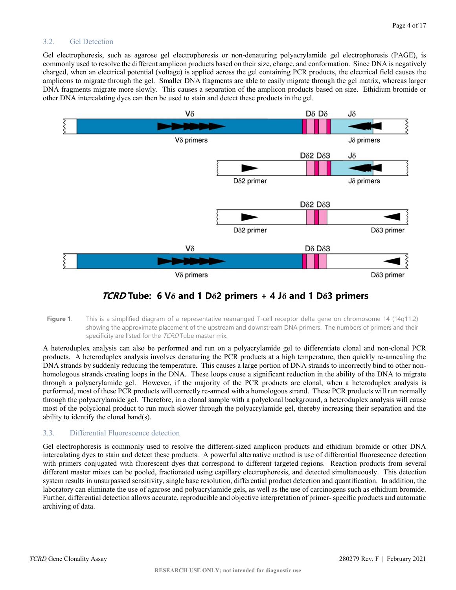### <span id="page-3-0"></span>3.2. Gel Detection

Gel electrophoresis, such as agarose gel electrophoresis or non-denaturing polyacrylamide gel electrophoresis (PAGE), is commonly used to resolve the different amplicon products based on their size, charge, and conformation. Since DNA is negatively charged, when an electrical potential (voltage) is applied across the gel containing PCR products, the electrical field causes the amplicons to migrate through the gel. Smaller DNA fragments are able to easily migrate through the gel matrix, whereas larger DNA fragments migrate more slowly. This causes a separation of the amplicon products based on size. Ethidium bromide or other DNA intercalating dyes can then be used to stain and detect these products in the gel.



# *TCRD* Tube: 6 V $\delta$  and 1 D $\delta$ 2 primers + 4 J $\delta$  and 1 D $\delta$ 3 primers

Figure 1. This is a simplified diagram of a representative rearranged T-cell receptor delta gene on chromosome 14 (14q11.2) showing the approximate placement of the upstream and downstream DNA primers. The numbers of primers and their specificity are listed for the TCRD Tube master mix.

A heteroduplex analysis can also be performed and run on a polyacrylamide gel to differentiate clonal and non-clonal PCR products. A heteroduplex analysis involves denaturing the PCR products at a high temperature, then quickly re-annealing the DNA strands by suddenly reducing the temperature. This causes a large portion of DNA strands to incorrectly bind to other nonhomologous strands creating loops in the DNA. These loops cause a significant reduction in the ability of the DNA to migrate through a polyacrylamide gel. However, if the majority of the PCR products are clonal, when a heteroduplex analysis is performed, most of these PCR products will correctly re-anneal with a homologous strand. These PCR products will run normally through the polyacrylamide gel. Therefore, in a clonal sample with a polyclonal background, a heteroduplex analysis will cause most of the polyclonal product to run much slower through the polyacrylamide gel, thereby increasing their separation and the ability to identify the clonal band(s).

### <span id="page-3-1"></span>3.3. Differential Fluorescence detection

Gel electrophoresis is commonly used to resolve the different-sized amplicon products and ethidium bromide or other DNA intercalating dyes to stain and detect these products. A powerful alternative method is use of differential fluorescence detection with primers conjugated with fluorescent dyes that correspond to different targeted regions. Reaction products from several different master mixes can be pooled, fractionated using capillary electrophoresis, and detected simultaneously. This detection system results in unsurpassed sensitivity, single base resolution, differential product detection and quantification. In addition, the laboratory can eliminate the use of agarose and polyacrylamide gels, as well as the use of carcinogens such as ethidium bromide. Further, differential detection allows accurate, reproducible and objective interpretation of primer- specific products and automatic archiving of data.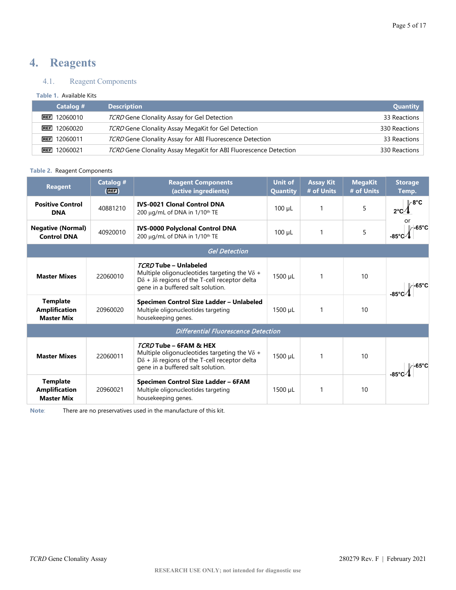# <span id="page-4-0"></span>**4. Reagents**

# <span id="page-4-1"></span>4.1. Reagent Components

### **Table 1.** Available Kits

| Catalog #           | <b>Description</b>                                               | Quantity      |
|---------------------|------------------------------------------------------------------|---------------|
| $REF$ 12060010      | TCRD Gene Clonality Assay for Gel Detection                      | 33 Reactions  |
| $REF$ 12060020      | TCRD Gene Clonality Assay MegaKit for Gel Detection              | 330 Reactions |
| <b>REF</b> 12060011 | TCRD Gene Clonality Assay for ABI Fluorescence Detection         | 33 Reactions  |
| <b>REF</b> 12060021 | TCRD Gene Clonality Assay MegaKit for ABI Fluorescence Detection | 330 Reactions |

#### **Table 2.** Reagent Components

| <b>Reagent</b>                                               | Catalog #<br>(EII) | <b>Reagent Components</b><br>(active ingredients)                                                                                                                                  | <b>Unit of</b><br>Quantity | <b>Assay Kit</b><br># of Units | <b>MegaKit</b><br># of Units | <b>Storage</b><br>Temp. |
|--------------------------------------------------------------|--------------------|------------------------------------------------------------------------------------------------------------------------------------------------------------------------------------|----------------------------|--------------------------------|------------------------------|-------------------------|
| <b>Positive Control</b><br><b>DNA</b>                        | 40881210           | <b>IVS-0021 Clonal Control DNA</b><br>200 μg/mL of DNA in 1/10 <sup>th</sup> TE                                                                                                    | $100 \mu L$                | $\mathbf{1}$                   | 5                            | ∕8°C                    |
| <b>Negative (Normal)</b><br><b>Control DNA</b>               | 40920010           | <b>IVS-0000 Polyclonal Control DNA</b><br>200 μg/mL of DNA in 1/10 <sup>th</sup> TE                                                                                                | $100 \mu L$                | $\mathbf{1}$                   | 5                            | l∕-65°C<br>-85°C        |
|                                                              |                    | <b>Gel Detection</b>                                                                                                                                                               |                            |                                |                              |                         |
| <b>Master Mixes</b>                                          | 22060010           | TCRD Tube - Unlabeled<br>Multiple oligonucleotides targeting the V $\delta$ +<br>$D\delta$ + J $\delta$ regions of the T-cell receptor delta<br>gene in a buffered salt solution.  | 1500 µL                    |                                | 10                           | ⁄ -65°C                 |
| <b>Template</b><br><b>Amplification</b><br><b>Master Mix</b> | 20960020           | Specimen Control Size Ladder - Unlabeled<br>Multiple oligonucleotides targeting<br>housekeeping genes.                                                                             | 1500 µL                    | $\mathbf{1}$                   | 10                           |                         |
|                                                              |                    | <b>Differential Fluorescence Detection</b>                                                                                                                                         |                            |                                |                              |                         |
| <b>Master Mixes</b>                                          | 22060011           | TCRD Tube - 6FAM & HEX<br>Multiple oligonucleotides targeting the V $\delta$ +<br>$D\delta$ + J $\delta$ regions of the T-cell receptor delta<br>gene in a buffered salt solution. | 1500 µL                    |                                | 10                           |                         |
| <b>Template</b><br><b>Amplification</b><br><b>Master Mix</b> | 20960021           | Specimen Control Size Ladder - 6FAM<br>Multiple oligonucleotides targeting<br>housekeeping genes.                                                                                  | 1500 µL                    | $\mathbf{1}$                   | 10                           |                         |

**Note**: There are no preservatives used in the manufacture of this kit.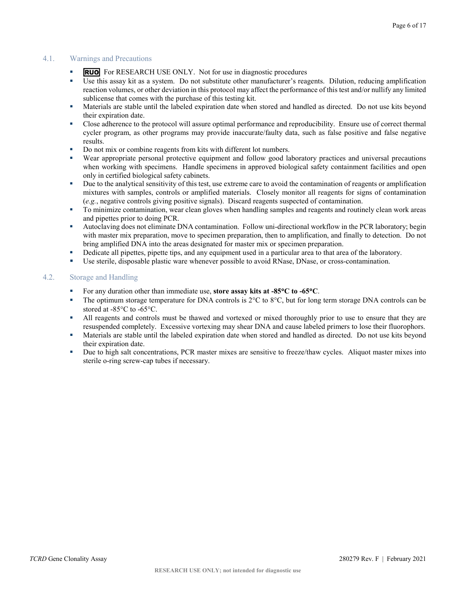# <span id="page-5-0"></span>4.1. Warnings and Precautions

- **RUO** For RESEARCH USE ONLY. Not for use in diagnostic procedures
- Use this assay kit as a system. Do not substitute other manufacturer's reagents. Dilution, reducing amplification reaction volumes, or other deviation in this protocol may affect the performance of this test and/or nullify any limited sublicense that comes with the purchase of this testing kit.
- Materials are stable until the labeled expiration date when stored and handled as directed. Do not use kits beyond their expiration date.
- Close adherence to the protocol will assure optimal performance and reproducibility. Ensure use of correct thermal cycler program, as other programs may provide inaccurate/faulty data, such as false positive and false negative results.
- Do not mix or combine reagents from kits with different lot numbers.
- Wear appropriate personal protective equipment and follow good laboratory practices and universal precautions when working with specimens. Handle specimens in approved biological safety containment facilities and open only in certified biological safety cabinets.
- Due to the analytical sensitivity of this test, use extreme care to avoid the contamination of reagents or amplification mixtures with samples, controls or amplified materials. Closely monitor all reagents for signs of contamination (*e.g.*, negative controls giving positive signals). Discard reagents suspected of contamination.
- To minimize contamination, wear clean gloves when handling samples and reagents and routinely clean work areas and pipettes prior to doing PCR.
- Autoclaving does not eliminate DNA contamination. Follow uni-directional workflow in the PCR laboratory; begin with master mix preparation, move to specimen preparation, then to amplification, and finally to detection. Do not bring amplified DNA into the areas designated for master mix or specimen preparation.
- Dedicate all pipettes, pipette tips, and any equipment used in a particular area to that area of the laboratory.
- Use sterile, disposable plastic ware whenever possible to avoid RNase, DNase, or cross-contamination.

# <span id="page-5-1"></span>4.2. Storage and Handling

- For any duration other than immediate use, **store assay kits at -85**°**C to -65**°**C**.
- The optimum storage temperature for DNA controls is  $2^{\circ}C$  to  $8^{\circ}C$ , but for long term storage DNA controls can be stored at -85°C to -65°C.
- If All reagents and controls must be thawed and vortexed or mixed thoroughly prior to use to ensure that they are resuspended completely. Excessive vortexing may shear DNA and cause labeled primers to lose their fluorophors.
- Materials are stable until the labeled expiration date when stored and handled as directed. Do not use kits beyond their expiration date.
- Due to high salt concentrations, PCR master mixes are sensitive to freeze/thaw cycles. Aliquot master mixes into sterile o-ring screw-cap tubes if necessary.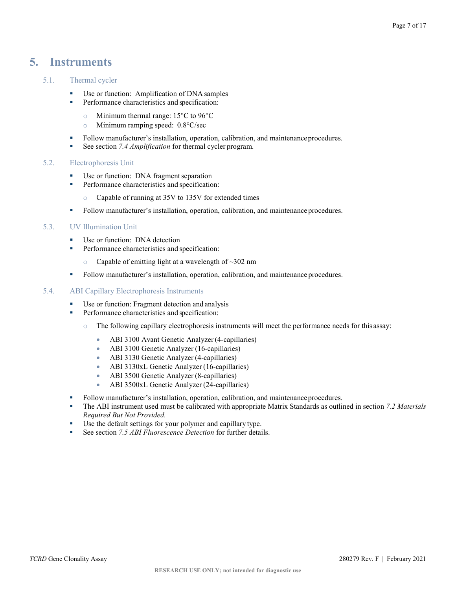# <span id="page-6-0"></span>**5. Instruments**

# <span id="page-6-1"></span>5.1. Thermal cycler

- Use or function: Amplification of DNA samples
- **Performance characteristics and specification:** 
	- o Minimum thermal range: 15°C to 96°C
	- o Minimum ramping speed: 0.8°C/sec
- Follow manufacturer's installation, operation, calibration, and maintenance procedures.
- See section *[7.4](file://sbs2003.invivoscribe.com/files/Invivoscribe/Public/Marketing%20Temp/Gillian/280276.docx#_bookmark0) [Amplification](file://sbs2003.invivoscribe.com/files/Invivoscribe/Public/Marketing%20Temp/Gillian/280276.docx#_bookmark0)* for thermal cycler program.

#### <span id="page-6-2"></span>5.2. Electrophoresis Unit

- Use or function: DNA fragment separation
- **Performance characteristics and specification:** 
	- o Capable of running at 35V to 135V for extended times
- Follow manufacturer's installation, operation, calibration, and maintenance procedures.

### <span id="page-6-3"></span>5.3. UV Illumination Unit

- Use or function: DNA detection
- **Performance characteristics and specification:** 
	- $\degree$  Capable of emitting light at a wavelength of  $\sim$ 302 nm
- Follow manufacturer's installation, operation, calibration, and maintenance procedures.

#### <span id="page-6-4"></span>5.4. ABI Capillary Electrophoresis Instruments

- Use or function: Fragment detection and analysis
- **Performance characteristics and specification:** 
	- o The following capillary electrophoresis instruments will meet the performance needs for this assay:
		- ABI 3100 Avant Genetic Analyzer (4-capillaries)
		- ABI 3100 Genetic Analyzer (16-capillaries)
		- ABI 3130 Genetic Analyzer (4-capillaries)
		- ABI 3130xL Genetic Analyzer (16-capillaries)
		- ABI 3500 Genetic Analyzer (8-capillaries)
		- ABI 3500xL Genetic Analyzer (24-capillaries)
- Follow manufacturer's installation, operation, calibration, and maintenance procedures.
- The ABI instrument used must be calibrated with appropriate Matrix Standards as outlined in section *7.2 Materials Required But Not Provided.*
- Use the default settings for your polymer and capillary type.<br>■ See section  $7.5$  *ABI Fluorescence Detection* for further detai
- See section *7.5 ABI Fluorescence Detection* for further details.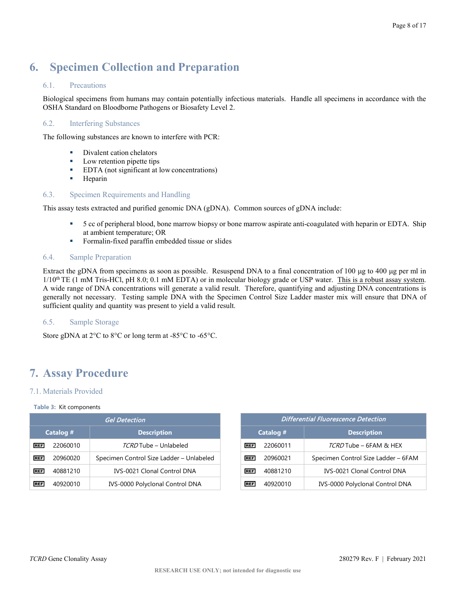# <span id="page-7-0"></span>**6. Specimen Collection and Preparation**

# <span id="page-7-1"></span>6.1. Precautions

Biological specimens from humans may contain potentially infectious materials. Handle all specimens in accordance with the OSHA Standard on Bloodborne Pathogens or Biosafety Level 2.

# <span id="page-7-2"></span>6.2. Interfering Substances

The following substances are known to interfere with PCR:

- Divalent cation chelators
- **Low retention pipette tips**
- EDTA (not significant at low concentrations)
- **Heparin**

# <span id="page-7-3"></span>6.3. Specimen Requirements and Handling

This assay tests extracted and purified genomic DNA (gDNA). Common sources of gDNA include:

- 5 cc of peripheral blood, bone marrow biopsy or bone marrow aspirate anti-coagulated with heparin or EDTA. Ship at ambient temperature; OR
- Formalin-fixed paraffin embedded tissue or slides

# <span id="page-7-4"></span>6.4. Sample Preparation

Extract the gDNA from specimens as soon as possible. Resuspend DNA to a final concentration of  $100 \mu g$  to  $400 \mu g$  per ml in  $1/10<sup>th</sup> TE$  (1 mM Tris-HCl, pH 8.0; 0.1 mM EDTA) or in molecular biology grade or USP water. This is a robust assay system. A wide range of DNA concentrations will generate a valid result. Therefore, quantifying and adjusting DNA concentrations is generally not necessary. Testing sample DNA with the Specimen Control Size Ladder master mix will ensure that DNA of sufficient quality and quantity was present to yield a valid result.

# <span id="page-7-5"></span>6.5. Sample Storage

Store gDNA at 2°C to 8°C or long term at -85°C to -65°C.

# <span id="page-7-6"></span>**7. Assay Procedure**

# <span id="page-7-7"></span>7.1. Materials Provided

#### **Table 3:** Kit components

|            |           | <b>Gel Detection</b>                     |            |           | <b>Differential Fluorescence Detection</b> |
|------------|-----------|------------------------------------------|------------|-----------|--------------------------------------------|
|            | Catalog # | <b>Description</b>                       |            | Catalog # | <b>Description</b>                         |
| <b>REF</b> | 22060010  | TCRD Tube - Unlabeled                    | <b>REF</b> | 22060011  | TCRD Tube - 6FAM & HEX                     |
| <b>REF</b> | 20960020  | Specimen Control Size Ladder - Unlabeled | <b>REF</b> | 20960021  | Specimen Control Size Ladder -             |
| <b>REF</b> | 40881210  | <b>IVS-0021 Clonal Control DNA</b>       | <b>REF</b> | 40881210  | IVS-0021 Clonal Control DN                 |
| <b>REF</b> | 40920010  | IVS-0000 Polyclonal Control DNA          | <b>REF</b> | 40920010  | IVS-0000 Polyclonal Control D              |

| <b>Gel Detection</b> |                                          |  |            |           | <b>Differential Fluorescence Detection</b> |
|----------------------|------------------------------------------|--|------------|-----------|--------------------------------------------|
| talog #              | <b>Description</b>                       |  |            | Catalog # | <b>Description</b>                         |
| 22060010             | TCRD Tube - Unlabeled                    |  | <b>REF</b> | 22060011  | TCRD Tube - 6FAM & HEX                     |
| 20960020             | Specimen Control Size Ladder - Unlabeled |  | <b>REF</b> | 20960021  | Specimen Control Size Ladder - 6FAM        |
| 40881210             | <b>IVS-0021 Clonal Control DNA</b>       |  | <b>REF</b> | 40881210  | <b>IVS-0021 Clonal Control DNA</b>         |
| 40920010             | IVS-0000 Polyclonal Control DNA          |  | <b>REF</b> | 40920010  | IVS-0000 Polyclonal Control DNA            |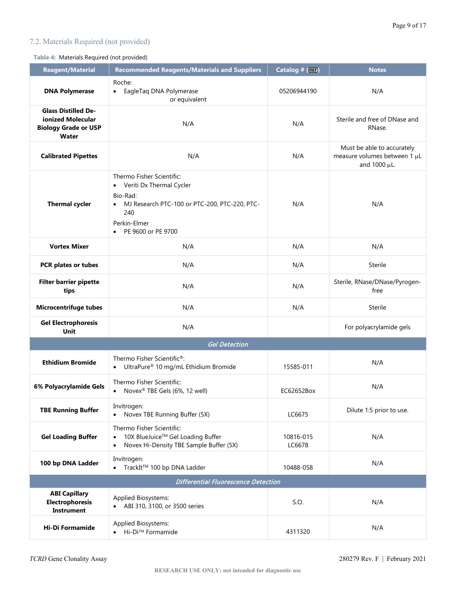# <span id="page-8-0"></span>7.2. Materials Required (not provided)

# **Table 4:** Materials Required (not provided)

| <b>Reagent/Material</b>                                                                        | <b>Recommended Reagents/Materials and Suppliers</b>                                                                                                                                         | Catalog # (REF) | <b>Notes</b>                                                               |
|------------------------------------------------------------------------------------------------|---------------------------------------------------------------------------------------------------------------------------------------------------------------------------------------------|-----------------|----------------------------------------------------------------------------|
| <b>DNA Polymerase</b>                                                                          | Roche:<br>EagleTag DNA Polymerase<br>٠<br>or equivalent                                                                                                                                     | 05206944190     | N/A                                                                        |
| <b>Glass Distilled De-</b><br>ionized Molecular<br><b>Biology Grade or USP</b><br><b>Water</b> | N/A                                                                                                                                                                                         | N/A             | Sterile and free of DNase and<br>RNase.                                    |
| <b>Calibrated Pipettes</b>                                                                     | N/A                                                                                                                                                                                         | N/A             | Must be able to accurately<br>measure volumes between 1 µL<br>and 1000 µL. |
| <b>Thermal cycler</b>                                                                          | Thermo Fisher Scientific:<br>• Veriti Dx Thermal Cycler<br>Bio-Rad:<br>MJ Research PTC-100 or PTC-200, PTC-220, PTC-<br>$\bullet$<br>240<br>Perkin-Elmer<br>PE 9600 or PE 9700<br>$\bullet$ |                 | N/A                                                                        |
| <b>Vortex Mixer</b>                                                                            | N/A                                                                                                                                                                                         | N/A             | N/A                                                                        |
| PCR plates or tubes                                                                            | N/A                                                                                                                                                                                         | N/A             | Sterile                                                                    |
| <b>Filter barrier pipette</b><br>tips                                                          | N/A                                                                                                                                                                                         | N/A             | Sterile, RNase/DNase/Pyrogen-<br>free                                      |
| <b>Microcentrifuge tubes</b>                                                                   | N/A                                                                                                                                                                                         | N/A             | Sterile                                                                    |
| <b>Gel Electrophoresis</b><br>Unit                                                             | N/A                                                                                                                                                                                         |                 | For polyacrylamide gels                                                    |
|                                                                                                | <b>Gel Detection</b>                                                                                                                                                                        |                 |                                                                            |
| <b>Ethidium Bromide</b>                                                                        | Thermo Fisher Scientific®:<br>UltraPure® 10 mg/mL Ethidium Bromide                                                                                                                          | 15585-011       | N/A                                                                        |
| 6% Polyacrylamide Gels                                                                         | Thermo Fisher Scientific:<br>Novex® TBE Gels (6%, 12 well)                                                                                                                                  | EC62652Box      | N/A                                                                        |
| <b>TBE Running Buffer</b>                                                                      | Invitrogen:<br>Novex TBE Running Buffer (5X)<br>$\bullet$                                                                                                                                   | LC6675          | Dilute 1:5 prior to use.                                                   |
| <b>Gel Loading Buffer</b>                                                                      | Thermo Fisher Scientific:<br>10X BlueJuice™ Gel Loading Buffer<br>$\bullet$<br>Novex Hi-Density TBE Sample Buffer (5X)<br>$\bullet$                                                         |                 | N/A                                                                        |
| 100 bp DNA Ladder                                                                              | Invitrogen:<br>● TrackIt™ 100 bp DNA Ladder                                                                                                                                                 | 10488-058       | N/A                                                                        |
|                                                                                                | <b>Differential Fluorescence Detection</b>                                                                                                                                                  |                 |                                                                            |
| <b>ABI Capillary</b><br><b>Electrophoresis</b><br><b>Instrument</b>                            | Applied Biosystems:<br>• ABI 310, 3100, or 3500 series                                                                                                                                      | S.O.            | N/A                                                                        |
| <b>Hi-Di Formamide</b>                                                                         | Applied Biosystems:<br>Hi-Di™ Formamide                                                                                                                                                     | 4311320         | N/A                                                                        |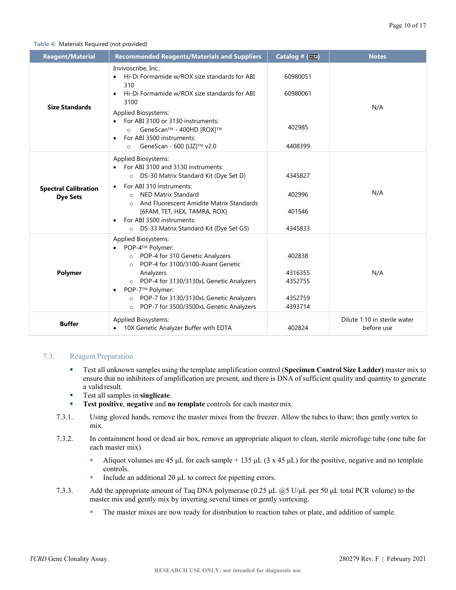#### **Table 4:** Materials Required (not provided)

| <b>Reagent/Material</b>                        | <b>Recommended Reagents/Materials and Suppliers</b>                                                                                                                                                                                                                                                                                                 | Catalog # (REF)                                    | <b>Notes</b>                               |
|------------------------------------------------|-----------------------------------------------------------------------------------------------------------------------------------------------------------------------------------------------------------------------------------------------------------------------------------------------------------------------------------------------------|----------------------------------------------------|--------------------------------------------|
| <b>Size Standards</b>                          | Invivoscribe, Inc.:<br>Hi-Di Formamide w/ROX size standards for ABI<br>$\bullet$<br>310<br>Hi-Di Formamide w/ROX size standards for ABI<br>$\bullet$<br>3100<br>Applied Biosystems:<br>For ABI 3100 or 3130 instruments:<br>GeneScan™ - 400HD [ROX]™<br>$\Omega$<br>For ABI 3500 instruments:<br>$\bullet$<br>GeneScan - 600 [LIZ]™ v2.0<br>$\circ$ | 60980051<br>60980061<br>402985<br>4408399          | N/A                                        |
| <b>Spectral Calibration</b><br><b>Dye Sets</b> | <b>Applied Biosystems:</b><br>For ABI 3100 and 3130 instruments:<br>o DS-30 Matrix Standard Kit (Dye Set D)<br>For ABI 310 instruments:<br><b>NED Matrix Standard</b><br>$\Omega$<br>And Fluorescent Amidite Matrix Standards<br>$\circ$<br>[6FAM, TET, HEX, TAMRA, ROX]<br>For ABI 3500 instruments:<br>o DS-33 Matrix Standard Kit (Dye Set G5)   | 4345827<br>402996<br>401546<br>4345833             | N/A                                        |
| Polymer                                        | <b>Applied Biosystems:</b><br>POP-4™ Polymer:<br>o POP-4 for 310 Genetic Analyzers<br>POP-4 for 3100/3100-Avant Genetic<br>$\circ$<br>Analyzers<br>o POP-4 for 3130/3130xL Genetic Analyzers<br>POP-7™ Polymer:<br>POP-7 for 3130/3130xL Genetic Analyzers<br>$\circ$<br>POP-7 for 3500/3500xL Genetic Analyzers<br>$\circ$                         | 402838<br>4316355<br>4352755<br>4352759<br>4393714 | N/A                                        |
| <b>Buffer</b>                                  | Applied Biosystems:<br>10X Genetic Analyzer Buffer with EDTA                                                                                                                                                                                                                                                                                        | 402824                                             | Dilute 1:10 in sterile water<br>before use |

# <span id="page-9-0"></span>7.3. Reagent Preparation

- Test all unknown samples using the template amplification control (**Specimen Control Size Ladder)** master mix to ensure that no inhibitors of amplification are present, and there is DNA of sufficient quality and quantity to generate a valid result.
- Test all samples in **singlicate**.
- **Test positive, negative and <b>no** template controls for each master mix.
- 7.3.1. Using gloved hands, remove the master mixes from the freezer. Allow the tubes to thaw; then gently vortex to mix.
- 7.3.2. In containment hood or dead air box, remove an appropriate aliquot to clean, sterile microfuge tube (one tube for each master mix).
	- Aliquot volumes are 45 μL for each sample + 135 μL (3 x 45 μL) for the positive, negative and no template controls.
	- Include an additional 20  $\mu$ L to correct for pipetting errors.
- 7.3.3. Add the appropriate amount of Taq DNA polymerase (0.25 μL @5 U/μL per 50 μL total PCR volume) to the master mix and gently mix by inverting several times or gently vortexing.
	- **The master mixes are now ready for distribution to reaction tubes or plate, and addition of sample.**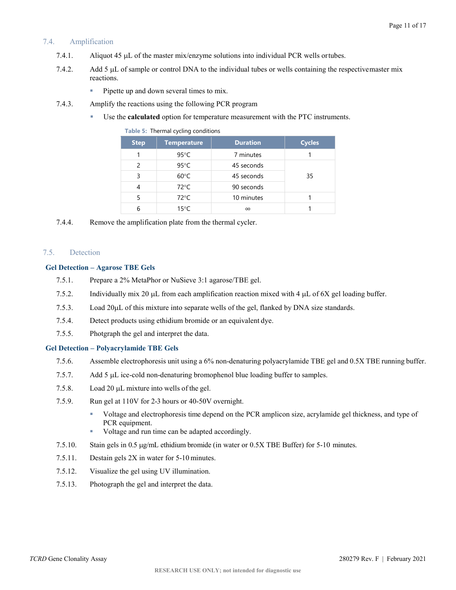# <span id="page-10-0"></span>7.4. Amplification

- 7.4.1. Aliquot 45 µL of the master mix/enzyme solutions into individual PCR wells ortubes.
- 7.4.2. Add 5 µL of sample or control DNA to the individual tubes or wells containing the respectivemaster mix reactions.
	- Pipette up and down several times to mix.
- 7.4.3. Amplify the reactions using the following PCR program
	- Use the **calculated** option for temperature measurement with the PTC instruments.

| <b>Step</b> | <b>Temperature</b> | <b>Duration</b> | <b>Cycles</b> |
|-------------|--------------------|-----------------|---------------|
|             | $95^{\circ}$ C     | 7 minutes       |               |
| 2           | $95^{\circ}$ C     | 45 seconds      |               |
| 3           | $60^{\circ}$ C     | 45 seconds      | 35            |
| 4           | $72^{\circ}$ C     | 90 seconds      |               |
|             | $72^{\circ}$ C     | 10 minutes      |               |
|             | $15^{\circ}$ C     | $\infty$        |               |

**Table 5:** Thermal cycling conditions

7.4.4. Remove the amplification plate from the thermal cycler.

#### <span id="page-10-1"></span>7.5. Detection

#### **Gel Detection – Agarose TBE Gels**

- 7.5.1. Prepare a 2% MetaPhor or NuSieve 3:1 agarose/TBE gel.
- 7.5.2. Individually mix 20 µL from each amplification reaction mixed with 4 µL of 6X gel loading buffer.
- 7.5.3. Load 20µL of this mixture into separate wells of the gel, flanked by DNA size standards.
- 7.5.4. Detect products using ethidium bromide or an equivalent dye.
- 7.5.5. Photgraph the gel and interpret the data.

#### **Gel Detection – Polyacrylamide TBE Gels**

- 7.5.6. Assemble electrophoresis unit using a 6% non-denaturing polyacrylamide TBE gel and 0.5X TBE running buffer.
- 7.5.7. Add 5 µL ice-cold non-denaturing bromophenol blue loading buffer to samples.
- 7.5.8. Load 20 µL mixture into wells of the gel.
- 7.5.9. Run gel at 110V for 2-3 hours or 40-50V overnight.
	- Voltage and electrophoresis time depend on the PCR amplicon size, acrylamide gel thickness, and type of PCR equipment.
	- Voltage and run time can be adapted accordingly.
- 7.5.10. Stain gels in 0.5 µg/mL ethidium bromide (in water or 0.5X TBE Buffer) for 5-10 minutes.
- 7.5.11. Destain gels 2X in water for 5-10 minutes.
- 7.5.12. Visualize the gel using UV illumination.
- 7.5.13. Photograph the gel and interpret the data.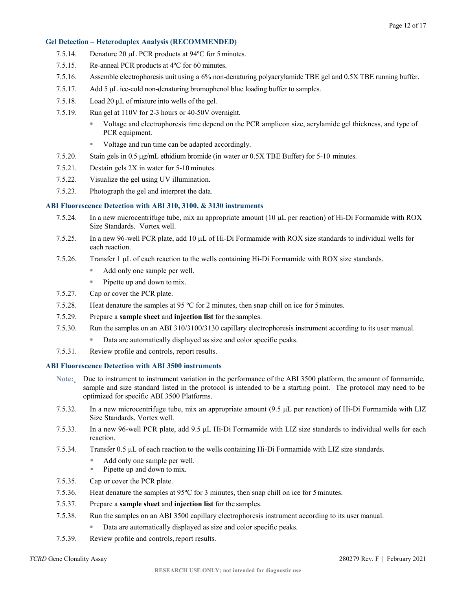#### **Gel Detection – Heteroduplex Analysis (RECOMMENDED)**

- 7.5.14. Denature 20 µL PCR products at 94ºC for 5 minutes.
- 7.5.15. Re-anneal PCR products at 4ºC for 60 minutes.
- 7.5.16. Assemble electrophoresis unit using a 6% non-denaturing polyacrylamide TBE gel and 0.5X TBE running buffer.
- 7.5.17. Add 5 µL ice-cold non-denaturing bromophenol blue loading buffer to samples.
- 7.5.18. Load 20 µL of mixture into wells of the gel.
- 7.5.19. Run gel at 110V for 2-3 hours or 40-50V overnight.
	- Voltage and electrophoresis time depend on the PCR amplicon size, acrylamide gel thickness, and type of PCR equipment.
	- Voltage and run time can be adapted accordingly.
- 7.5.20. Stain gels in 0.5 µg/mL ethidium bromide (in water or 0.5X TBE Buffer) for 5-10 minutes.
- 7.5.21. Destain gels 2X in water for 5-10 minutes.
- 7.5.22. Visualize the gel using UV illumination.
- 7.5.23. Photograph the gel and interpret the data.

#### **ABI Fluorescence Detection with ABI 310, 3100, & 3130 instruments**

- 7.5.24. In a new microcentrifuge tube, mix an appropriate amount (10 µL per reaction) of Hi-Di Formamide with ROX Size Standards. Vortex well.
- 7.5.25. In a new 96-well PCR plate, add 10 µL of Hi-Di Formamide with ROX size standards to individual wells for each reaction.
- 7.5.26. Transfer 1 µL of each reaction to the wells containing Hi-Di Formamide with ROX size standards.
	- Add only one sample per well.
	- $\blacksquare$  Pipette up and down to mix.
- 7.5.27. Cap or cover the PCR plate.
- 7.5.28. Heat denature the samples at 95 ºC for 2 minutes, then snap chill on ice for 5minutes.
- 7.5.29. Prepare a **sample sheet** and **injection list** for the samples.
- 7.5.30. Run the samples on an ABI 310/3100/3130 capillary electrophoresis instrument according to its user manual.
	- Data are automatically displayed as size and color specific peaks.
- 7.5.31. Review profile and controls, report results.

#### **ABI Fluorescence Detection with ABI 3500 instruments**

- **Note:** Due to instrument to instrument variation in the performance of the ABI 3500 platform, the amount of formamide, sample and size standard listed in the protocol is intended to be a starting point. The protocol may need to be optimized for specific ABI 3500 Platforms.
- 7.5.32. In a new microcentrifuge tube, mix an appropriate amount (9.5 μL per reaction) of Hi-Di Formamide with LIZ Size Standards. Vortex well.
- 7.5.33. In a new 96-well PCR plate, add 9.5 μL Hi-Di Formamide with LIZ size standards to individual wells for each reaction.
- 7.5.34. Transfer 0.5 μL of each reaction to the wells containing Hi-Di Formamide with LIZ size standards.
	- Add only one sample per well.
	- Pipette up and down to mix.
- 7.5.35. Cap or cover the PCR plate.
- 7.5.36. Heat denature the samples at 95ºC for 3 minutes, then snap chill on ice for 5minutes.
- 7.5.37. Prepare a **sample sheet** and **injection list** for the samples.
- 7.5.38. Run the samples on an ABI 3500 capillary electrophoresis instrument according to its user manual.
	- Data are automatically displayed as size and color specific peaks.
- 7.5.39. Review profile and controls,report results.

#### *TCRD* Gene Clonality Assay 280279 Rev. F | February 2021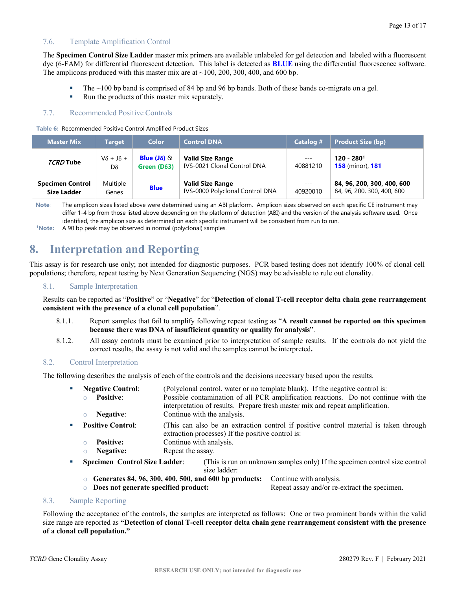### <span id="page-12-0"></span>7.6. Template Amplification Control

The **Specimen Control Size Ladder** master mix primers are available unlabeled for gel detection and labeled with a fluorescent dye (6-FAM) for differential fluorescent detection. This label is detected as **BLUE** using the differential fluorescence software. The amplicons produced with this master mix are at  $\sim$ 100, 200, 300, 400, and 600 bp.

- The ~100 bp band is comprised of 84 bp and 96 bp bands. Both of these bands co-migrate on a gel.
- Run the products of this master mix separately.

# <span id="page-12-1"></span>7.7. Recommended Positive Controls

**Table 6:** Recommended Positive Control Amplified Product Sizes

| <b>Master Mix</b>       | Target                   | <b>Color</b>       | <b>Control DNA</b>                 | Catalog # | <b>Product Size (bp)</b>       |
|-------------------------|--------------------------|--------------------|------------------------------------|-----------|--------------------------------|
| TCRD Tube               | $V\delta$ + J $\delta$ + | Blue $(J\delta)$ & | <b>Valid Size Range</b>            | $---$     | $120 - 2801$                   |
|                         | Dδ                       | Green $(D63)$      | <b>IVS-0021 Clonal Control DNA</b> | 40881210  | <b>158</b> (minor), <b>181</b> |
| <b>Specimen Control</b> | Multiple                 | <b>Blue</b>        | <b>Valid Size Range</b>            | $---$     | 84, 96, 200, 300, 400, 600     |
| <b>Size Ladder</b>      | Genes                    |                    | IVS-0000 Polyclonal Control DNA    | 40920010  | 84, 96, 200, 300, 400, 600     |

**Note**: The amplicon sizes listed above were determined using an ABI platform. Amplicon sizes observed on each specific CE instrument may differ 1-4 bp from those listed above depending on the platform of detection (ABI) and the version of the analysis software used. Once identified, the amplicon size as determined on each specific instrument will be consistent from run to run.

**1Note:** A 90 bp peak may be observed in normal (polyclonal) samples.

# <span id="page-12-2"></span>**8. Interpretation and Reporting**

This assay is for research use only; not intended for diagnostic purposes. PCR based testing does not identify 100% of clonal cell populations; therefore, repeat testing by Next Generation Sequencing (NGS) may be advisable to rule out clonality.

#### <span id="page-12-3"></span>8.1. Sample Interpretation

Results can be reported as "**Positive**" or "**Negative**" for "**Detection of clonal T-cell receptor delta chain gene rearrangement consistent with the presence of a clonal cell population**".

- 8.1.1. Report samples that fail to amplify following repeat testing as "**A result cannot be reported on this specimen because there was DNA of insufficient quantity or quality for analysis**".
- 8.1.2. All assay controls must be examined prior to interpretation of sample results. If the controls do not yield the correct results, the assay is not valid and the samples cannot be interpreted**.**

### <span id="page-12-4"></span>8.2. Control Interpretation

The following describes the analysis of each of the controls and the decisions necessary based upon the results.

- **Negative Control:** (Polyclonal control, water or no template blank). If the negative control is:
	- o **Positive**: Possible contamination of all PCR amplification reactions. Do not continue with the interpretation of results. Prepare fresh master mix and repeat amplification.
	- o **Negative**: Continue with the analysis.
- **Positive Control:** (This can also be an extraction control if positive control material is taken through extraction processes) If the positive control is:
	-
	- **Positive:** Continue with analysis.<br>○ **Negative:** Repeat the assay. Repeat the assay.
- **Specimen Control Size Ladder:** (This is run on unknown samples only) If the specimen control size control size ladder:
	- o **Generates 84, 96, 300, 400, 500, and 600 bp products:** Continue with analysis.
		-
	- o **Does not generate specified product:** Repeat assay and/or re-extract the specimen.

### <span id="page-12-5"></span>8.3. Sample Reporting

Following the acceptance of the controls, the samples are interpreted as follows: One or two prominent bands within the valid size range are reported as **"Detection of clonal T-cell receptor delta chain gene rearrangement consistent with the presence of a clonal cell population."**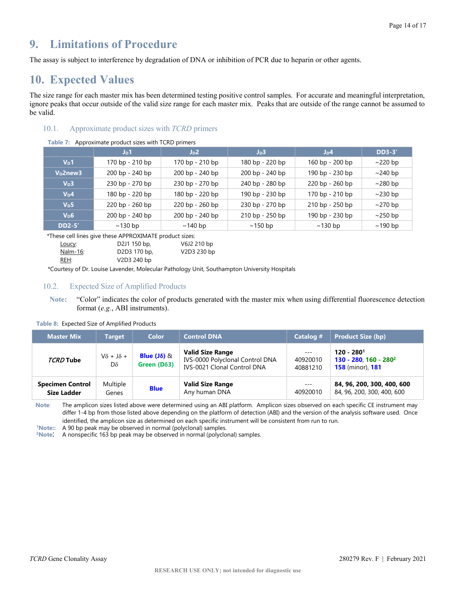# <span id="page-13-0"></span>**9. Limitations of Procedure**

The assay is subject to interference by degradation of DNA or inhibition of PCR due to heparin or other agents.

# <span id="page-13-1"></span>**10. Expected Values**

The size range for each master mix has been determined testing positive control samples. For accurate and meaningful interpretation, ignore peaks that occur outside of the valid size range for each master mix. Peaks that are outside of the range cannot be assumed to be valid.

# <span id="page-13-2"></span>10.1. Approximate product sizes with *TCRD* primers

| <b>Table 7:</b> Approximate product sizes with TCRD primers |                 |                 |                  |                 |               |  |
|-------------------------------------------------------------|-----------------|-----------------|------------------|-----------------|---------------|--|
|                                                             | $J_D1$          | $J_D2$          | J <sub>D</sub> 3 | $J_D4$          | <b>DD3-3'</b> |  |
| $V_{\text{D}}$ 1                                            | 170 bp - 210 bp | 170 bp - 210 bp | 180 bp - 220 bp  | 160 bp - 200 bp | $\sim$ 220 bp |  |
| V <sub>D</sub> 2new3                                        | 200 bp - 240 bp | 200 bp - 240 bp | 200 bp - 240 bp  | 190 bp - 230 bp | $\sim$ 240 bp |  |
| V <sub>D</sub> 3                                            | 230 bp - 270 bp | 230 bp - 270 bp | 240 bp - 280 bp  | 220 bp - 260 bp | $\sim$ 280 bp |  |
| $V_D4$                                                      | 180 bp - 220 bp | 180 bp - 220 bp | 190 bp - 230 bp  | 170 bp - 210 bp | $\sim$ 230 bp |  |
| V <sub>D</sub> 5                                            | 220 bp - 260 bp | 220 bp - 260 bp | 230 bp - 270 bp  | 210 bp - 250 bp | $\sim$ 270 bp |  |
| V <sub>D</sub> 6                                            | 200 bp - 240 bp | 200 bp - 240 bp | 210 bp - 250 bp  | 190 bp - 230 bp | $\sim$ 250 bp |  |
| <b>DD2-5'</b>                                               | $\sim$ 130 bp   | $\sim$ 140 bp   | $\sim$ 150 bp    | $\sim$ 130 bp   | $\sim$ 190 bp |  |
|                                                             |                 |                 |                  |                 |               |  |

# **Table 7:** Approximate product sizes with TCRD primers

\*These cell lines give these APPROXIMATE product sizes:

| Loucy:   | D <sub>2</sub> J1 150 bp,             | V6J2 210 bp |
|----------|---------------------------------------|-------------|
| Nalm-16: | D <sub>2</sub> D <sub>3</sub> 170 bp, | V2D3 230 bp |
| REH:     | V2D3 240 bp                           |             |

\*Courtesy of Dr. Louise Lavender, Molecular Pathology Unit, Southampton University Hospitals

# <span id="page-13-3"></span>10.2. Expected Size of Amplified Products

**Note:** "Color" indicates the color of products generated with the master mix when using differential fluorescence detection format (*e.g.*, ABI instruments).

#### **Table 8:** Expected Size of Amplified Products

| <b>Master Mix</b>                             | Target                         | <b>Color</b>                        | <b>Control DNA</b>                                                                        | Catalog #                     | <b>Product Size (bp)</b>                                                            |
|-----------------------------------------------|--------------------------------|-------------------------------------|-------------------------------------------------------------------------------------------|-------------------------------|-------------------------------------------------------------------------------------|
| TCRD Tube                                     | $V\delta$ + J $\delta$ +<br>Dδ | Blue $(J\delta)$ &<br>Green $(D63)$ | <b>Valid Size Range</b><br>IVS-0000 Polyclonal Control DNA<br>IVS-0021 Clonal Control DNA | $---$<br>40920010<br>40881210 | $120 - 2801$<br>130 - 280, 160 - 280 <sup>2</sup><br><b>158</b> (minor), <b>181</b> |
| <b>Specimen Control</b><br><b>Size Ladder</b> | Multiple<br>Genes              | <b>Blue</b>                         | <b>Valid Size Range</b><br>Any human DNA                                                  | $---$<br>40920010             | 84, 96, 200, 300, 400, 600<br>84, 96, 200, 300, 400, 600                            |

**Note**: The amplicon sizes listed above were determined using an ABI platform. Amplicon sizes observed on each specific CE instrument may differ 1-4 bp from those listed above depending on the platform of detection (ABI) and the version of the analysis software used. Once identified, the amplicon size as determined on each specific instrument will be consistent from run to run.

**1Note::** A 90 bp peak may be observed in normal (polyclonal) samples.

<sup>2</sup>Note: A nonspecific 163 bp peak may be observed in normal (polyclonal) samples.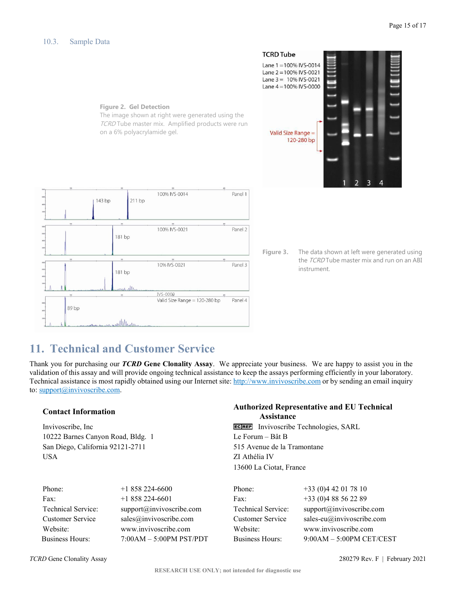<span id="page-14-0"></span>

# <span id="page-14-1"></span>**11. Technical and Customer Service**

Thank you for purchasing our *TCRD* **Gene Clonality Assay**. We appreciate your business. We are happy to assist you in the validation of this assay and will provide ongoing technical assistance to keep the assays performing efficiently in your laboratory. Technical assistance is most rapidly obtained using our Internet site: http://www.invivoscribe.com or by sending an email inquiry to: support@invivoscribe.com.

10222 Barnes Canyon Road, Bldg. 1 Le Forum – Bât B San Diego, California 92121-2711 515 Avenue de la Tramontane USA ZI Athélia IV

# **Contact Information Authorized Representative and EU Technical Assistance**

Invivoscribe, Inc **Invivoscribe**, Inc Invivoscribe Technologies, SARL 13600 La Ciotat, France

| Phone:                  | $+1858224-6600$             | Phone:                    | $+33(0)442017810$                  |
|-------------------------|-----------------------------|---------------------------|------------------------------------|
| Fax:                    | $+1858224-6601$             | Fax:                      | $+33(0)488562289$                  |
| Technical Service:      | support@invivoscribe.com    | <b>Technical Service:</b> | support@invivoscribe.com           |
| <b>Customer Service</b> | sales@invivoscribe.com      | Customer Service          | sales-eu $\omega$ invivoscribe.com |
| Website:                | www.invivoscribe.com        | Website:                  | www.invivoscribe.com               |
| <b>Business Hours:</b>  | $7:00AM - 5:00PM$ $PST/PDT$ | <b>Business Hours:</b>    | $9:00AM - 5:00PM$ CET/CEST         |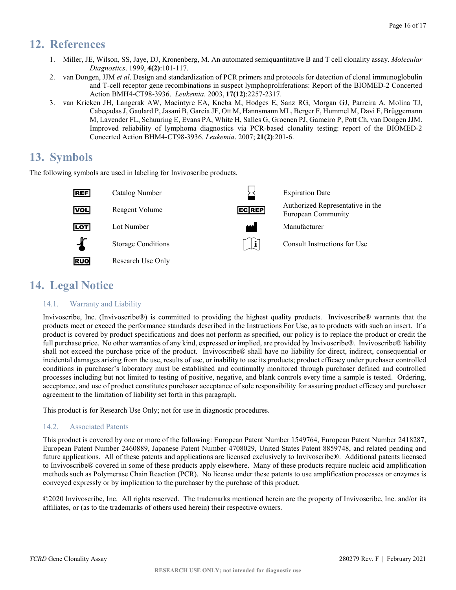# <span id="page-15-0"></span>**12. References**

- 1. Miller, JE, Wilson, SS, Jaye, DJ, Kronenberg, M. An automated semiquantitative B and T cell clonality assay. *Molecular Diagnostics*. 1999, **4(2)**:101-117.
- 2. van Dongen, JJM *et al*. Design and standardization of PCR primers and protocols for detection of clonal immunoglobulin and T-cell receptor gene recombinations in suspect lymphoproliferations: Report of the BIOMED-2 Concerted Action BMH4-CT98-3936. *Leukemia*. 2003, **17(12)**:2257-2317.
- 3. van Krieken JH, Langerak AW, Macintyre EA, Kneba M, Hodges E, Sanz RG, Morgan GJ, Parreira A, Molina TJ, Cabeçadas J, Gaulard P, Jasani B, Garcia JF, Ott M, Hannsmann ML, Berger F, Hummel M, Davi F, Brüggemann M, Lavender FL, Schuuring E, Evans PA, White H, Salles G, Groenen PJ, Gameiro P, Pott Ch, van Dongen JJM. Improved reliability of lymphoma diagnostics via PCR-based clonality testing: report of the BIOMED-2 Concerted Action BHM4-CT98-3936. *Leukemia*. 2007; **21(2)**:201-6.

# <span id="page-15-1"></span>**13. Symbols**

The following symbols are used in labeling for Invivoscribe products.



# <span id="page-15-2"></span>**14. Legal Notice**

# <span id="page-15-3"></span>14.1. Warranty and Liability

Invivoscribe, Inc. (Invivoscribe®) is committed to providing the highest quality products. Invivoscribe® warrants that the products meet or exceed the performance standards described in the Instructions For Use, as to products with such an insert. If a product is covered by product specifications and does not perform as specified, our policy is to replace the product or credit the full purchase price. No other warranties of any kind, expressed or implied, are provided by Invivoscribe®. Invivoscribe® liability shall not exceed the purchase price of the product. Invivoscribe® shall have no liability for direct, indirect, consequential or incidental damages arising from the use, results of use, or inability to use its products; product efficacy under purchaser controlled conditions in purchaser's laboratory must be established and continually monitored through purchaser defined and controlled processes including but not limited to testing of positive, negative, and blank controls every time a sample is tested. Ordering, acceptance, and use of product constitutes purchaser acceptance of sole responsibility for assuring product efficacy and purchaser agreement to the limitation of liability set forth in this paragraph.

This product is for Research Use Only; not for use in diagnostic procedures.

# <span id="page-15-4"></span>14.2. Associated Patents

This product is covered by one or more of the following: European Patent Number 1549764, European Patent Number 2418287, European Patent Number 2460889, Japanese Patent Number 4708029, United States Patent 8859748, and related pending and future applications. All of these patents and applications are licensed exclusively to Invivoscribe®. Additional patents licensed to Invivoscribe® covered in some of these products apply elsewhere. Many of these products require nucleic acid amplification methods such as Polymerase Chain Reaction (PCR). No license under these patents to use amplification processes or enzymes is conveyed expressly or by implication to the purchaser by the purchase of this product.

©2020 Invivoscribe, Inc. All rights reserved. The trademarks mentioned herein are the property of Invivoscribe, Inc. and/or its affiliates, or (as to the trademarks of others used herein) their respective owners.